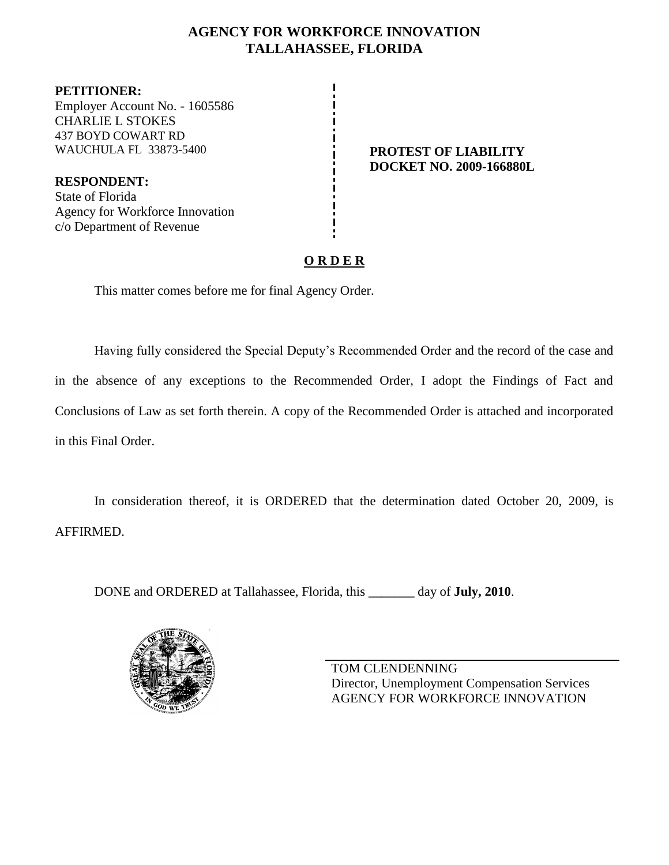# **AGENCY FOR WORKFORCE INNOVATION TALLAHASSEE, FLORIDA**

**PETITIONER:** Employer Account No. - 1605586 CHARLIE L STOKES 437 BOYD COWART RD WAUCHULA FL 33873-5400 **PROTEST OF LIABILITY** 

**RESPONDENT:** State of Florida Agency for Workforce Innovation c/o Department of Revenue

**DOCKET NO. 2009-166880L**

# **O R D E R**

This matter comes before me for final Agency Order.

Having fully considered the Special Deputy's Recommended Order and the record of the case and in the absence of any exceptions to the Recommended Order, I adopt the Findings of Fact and Conclusions of Law as set forth therein. A copy of the Recommended Order is attached and incorporated in this Final Order.

In consideration thereof, it is ORDERED that the determination dated October 20, 2009, is AFFIRMED.

DONE and ORDERED at Tallahassee, Florida, this **\_\_\_\_\_\_\_** day of **July, 2010**.



TOM CLENDENNING Director, Unemployment Compensation Services AGENCY FOR WORKFORCE INNOVATION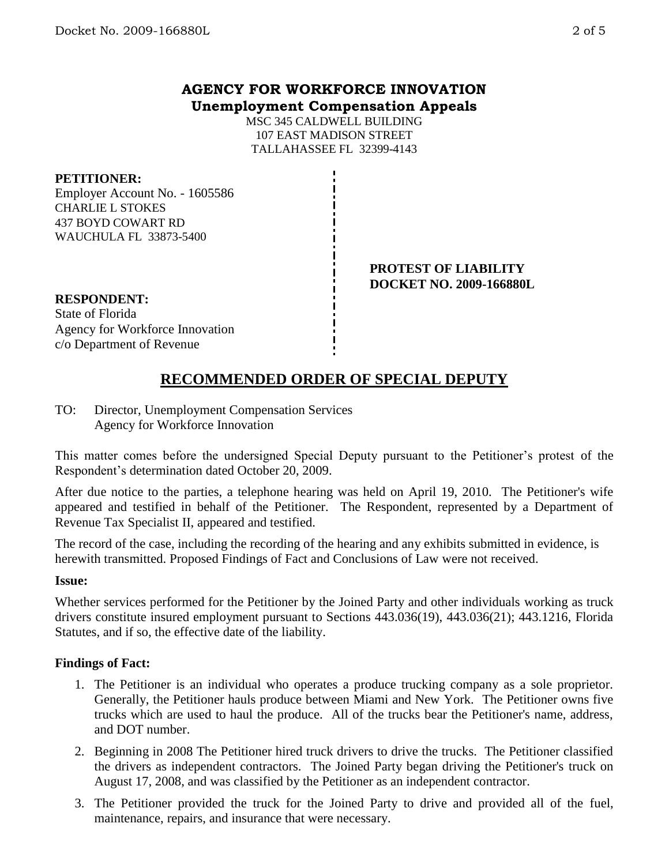# **AGENCY FOR WORKFORCE INNOVATION Unemployment Compensation Appeals**

MSC 345 CALDWELL BUILDING 107 EAST MADISON STREET TALLAHASSEE FL 32399-4143

### **PETITIONER:**

Employer Account No. - 1605586 CHARLIE L STOKES 437 BOYD COWART RD WAUCHULA FL 33873-5400

### **PROTEST OF LIABILITY DOCKET NO. 2009-166880L**

### **RESPONDENT:**

State of Florida Agency for Workforce Innovation c/o Department of Revenue

# **RECOMMENDED ORDER OF SPECIAL DEPUTY**

TO: Director, Unemployment Compensation Services Agency for Workforce Innovation

This matter comes before the undersigned Special Deputy pursuant to the Petitioner's protest of the Respondent's determination dated October 20, 2009.

After due notice to the parties, a telephone hearing was held on April 19, 2010. The Petitioner's wife appeared and testified in behalf of the Petitioner. The Respondent, represented by a Department of Revenue Tax Specialist II, appeared and testified.

The record of the case, including the recording of the hearing and any exhibits submitted in evidence, is herewith transmitted. Proposed Findings of Fact and Conclusions of Law were not received.

### **Issue:**

Whether services performed for the Petitioner by the Joined Party and other individuals working as truck drivers constitute insured employment pursuant to Sections 443.036(19), 443.036(21); 443.1216, Florida Statutes, and if so, the effective date of the liability.

### **Findings of Fact:**

- 1. The Petitioner is an individual who operates a produce trucking company as a sole proprietor. Generally, the Petitioner hauls produce between Miami and New York. The Petitioner owns five trucks which are used to haul the produce. All of the trucks bear the Petitioner's name, address, and DOT number.
- 2. Beginning in 2008 The Petitioner hired truck drivers to drive the trucks. The Petitioner classified the drivers as independent contractors. The Joined Party began driving the Petitioner's truck on August 17, 2008, and was classified by the Petitioner as an independent contractor.
- 3. The Petitioner provided the truck for the Joined Party to drive and provided all of the fuel, maintenance, repairs, and insurance that were necessary.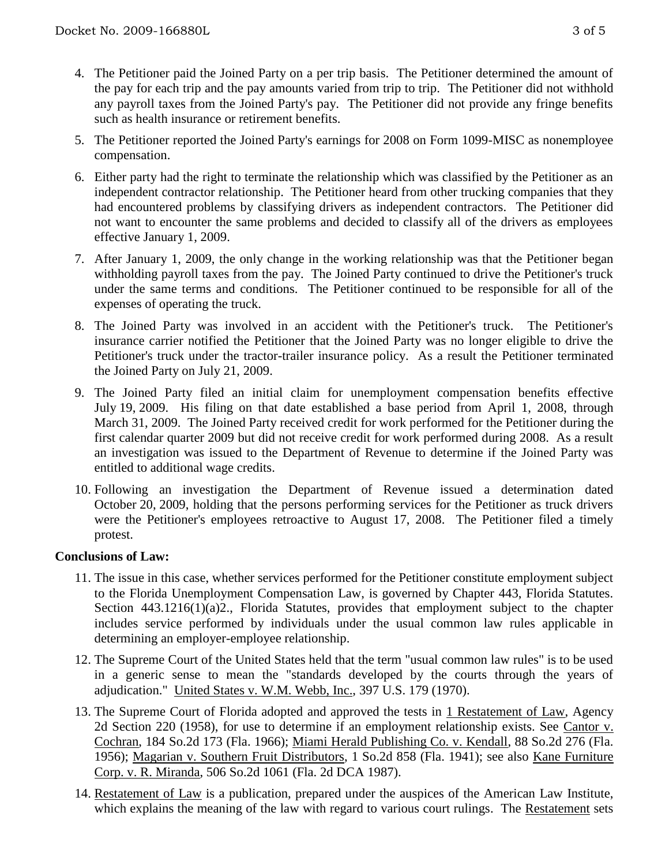- 4. The Petitioner paid the Joined Party on a per trip basis. The Petitioner determined the amount of the pay for each trip and the pay amounts varied from trip to trip. The Petitioner did not withhold any payroll taxes from the Joined Party's pay. The Petitioner did not provide any fringe benefits such as health insurance or retirement benefits.
- 5. The Petitioner reported the Joined Party's earnings for 2008 on Form 1099-MISC as nonemployee compensation.
- 6. Either party had the right to terminate the relationship which was classified by the Petitioner as an independent contractor relationship. The Petitioner heard from other trucking companies that they had encountered problems by classifying drivers as independent contractors. The Petitioner did not want to encounter the same problems and decided to classify all of the drivers as employees effective January 1, 2009.
- 7. After January 1, 2009, the only change in the working relationship was that the Petitioner began withholding payroll taxes from the pay. The Joined Party continued to drive the Petitioner's truck under the same terms and conditions. The Petitioner continued to be responsible for all of the expenses of operating the truck.
- 8. The Joined Party was involved in an accident with the Petitioner's truck. The Petitioner's insurance carrier notified the Petitioner that the Joined Party was no longer eligible to drive the Petitioner's truck under the tractor-trailer insurance policy. As a result the Petitioner terminated the Joined Party on July 21, 2009.
- 9. The Joined Party filed an initial claim for unemployment compensation benefits effective July 19, 2009. His filing on that date established a base period from April 1, 2008, through March 31, 2009. The Joined Party received credit for work performed for the Petitioner during the first calendar quarter 2009 but did not receive credit for work performed during 2008. As a result an investigation was issued to the Department of Revenue to determine if the Joined Party was entitled to additional wage credits.
- 10. Following an investigation the Department of Revenue issued a determination dated October 20, 2009, holding that the persons performing services for the Petitioner as truck drivers were the Petitioner's employees retroactive to August 17, 2008. The Petitioner filed a timely protest.

### **Conclusions of Law:**

- 11. The issue in this case, whether services performed for the Petitioner constitute employment subject to the Florida Unemployment Compensation Law, is governed by Chapter 443, Florida Statutes. Section 443.1216(1)(a)2., Florida Statutes, provides that employment subject to the chapter includes service performed by individuals under the usual common law rules applicable in determining an employer-employee relationship.
- 12. The Supreme Court of the United States held that the term "usual common law rules" is to be used in a generic sense to mean the "standards developed by the courts through the years of adjudication." United States v. W.M. Webb, Inc., 397 U.S. 179 (1970).
- 13. The Supreme Court of Florida adopted and approved the tests in 1 Restatement of Law, Agency 2d Section 220 (1958), for use to determine if an employment relationship exists. See Cantor v. Cochran, 184 So.2d 173 (Fla. 1966); Miami Herald Publishing Co. v. Kendall, 88 So.2d 276 (Fla. 1956); Magarian v. Southern Fruit Distributors, 1 So.2d 858 (Fla. 1941); see also Kane Furniture Corp. v. R. Miranda, 506 So.2d 1061 (Fla. 2d DCA 1987).
- 14. Restatement of Law is a publication, prepared under the auspices of the American Law Institute, which explains the meaning of the law with regard to various court rulings. The Restatement sets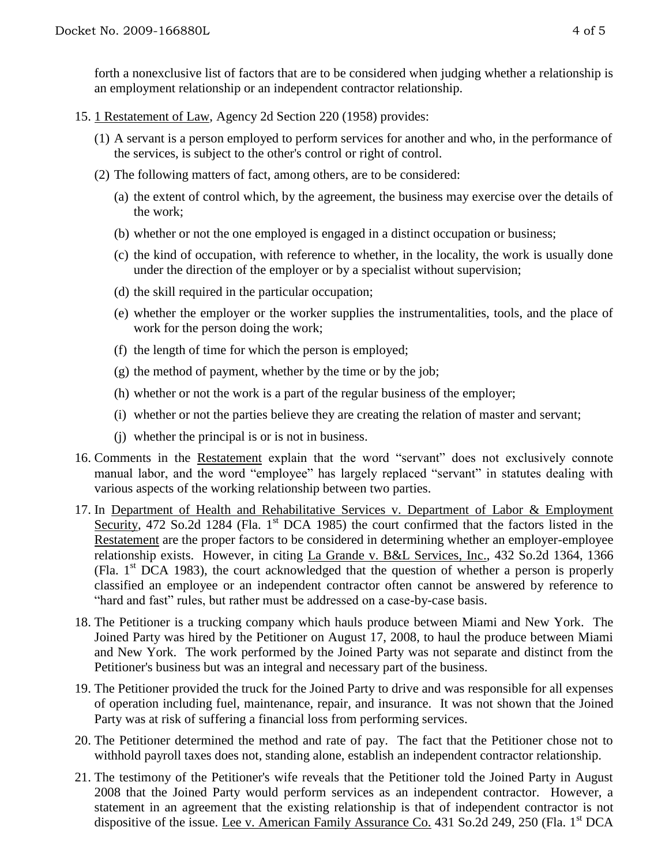forth a nonexclusive list of factors that are to be considered when judging whether a relationship is an employment relationship or an independent contractor relationship.

- 15. 1 Restatement of Law, Agency 2d Section 220 (1958) provides:
	- (1) A servant is a person employed to perform services for another and who, in the performance of the services, is subject to the other's control or right of control.
	- (2) The following matters of fact, among others, are to be considered:
		- (a) the extent of control which, by the agreement, the business may exercise over the details of the work;
		- (b) whether or not the one employed is engaged in a distinct occupation or business;
		- (c) the kind of occupation, with reference to whether, in the locality, the work is usually done under the direction of the employer or by a specialist without supervision;
		- (d) the skill required in the particular occupation;
		- (e) whether the employer or the worker supplies the instrumentalities, tools, and the place of work for the person doing the work;
		- (f) the length of time for which the person is employed;
		- $(g)$  the method of payment, whether by the time or by the job;
		- (h) whether or not the work is a part of the regular business of the employer;
		- (i) whether or not the parties believe they are creating the relation of master and servant;
		- (j) whether the principal is or is not in business.
- 16. Comments in the Restatement explain that the word "servant" does not exclusively connote manual labor, and the word "employee" has largely replaced "servant" in statutes dealing with various aspects of the working relationship between two parties.
- 17. In Department of Health and Rehabilitative Services v. Department of Labor & Employment Security, 472 So.2d 1284 (Fla. 1<sup>st</sup> DCA 1985) the court confirmed that the factors listed in the Restatement are the proper factors to be considered in determining whether an employer-employee relationship exists. However, in citing La Grande v. B&L Services, Inc., 432 So.2d 1364, 1366 (Fla.  $1<sup>st</sup> DCA$  1983), the court acknowledged that the question of whether a person is properly classified an employee or an independent contractor often cannot be answered by reference to "hard and fast" rules, but rather must be addressed on a case-by-case basis.
- 18. The Petitioner is a trucking company which hauls produce between Miami and New York. The Joined Party was hired by the Petitioner on August 17, 2008, to haul the produce between Miami and New York. The work performed by the Joined Party was not separate and distinct from the Petitioner's business but was an integral and necessary part of the business.
- 19. The Petitioner provided the truck for the Joined Party to drive and was responsible for all expenses of operation including fuel, maintenance, repair, and insurance. It was not shown that the Joined Party was at risk of suffering a financial loss from performing services.
- 20. The Petitioner determined the method and rate of pay. The fact that the Petitioner chose not to withhold payroll taxes does not, standing alone, establish an independent contractor relationship.
- 21. The testimony of the Petitioner's wife reveals that the Petitioner told the Joined Party in August 2008 that the Joined Party would perform services as an independent contractor. However, a statement in an agreement that the existing relationship is that of independent contractor is not dispositive of the issue. Lee v. American Family Assurance Co. 431 So.2d 249, 250 (Fla. 1<sup>st</sup> DCA